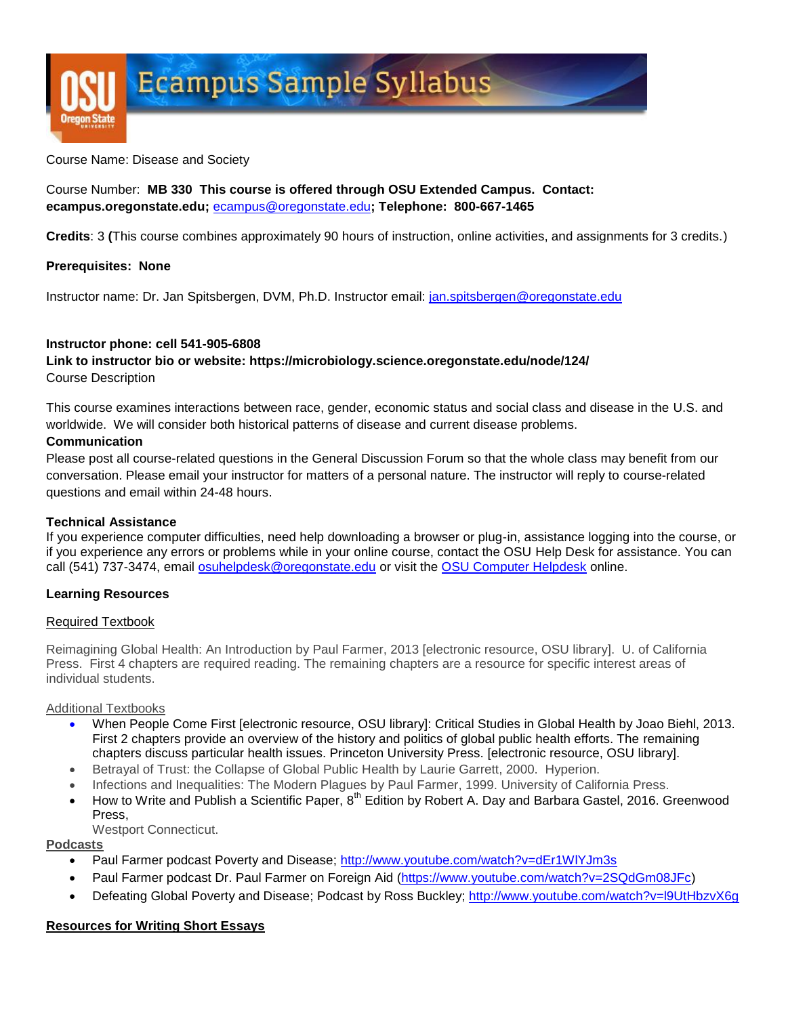

Course Name: Disease and Society

## Course Number: **MB 330 This course is offered through OSU Extended Campus. Contact: ecampus.oregonstate.edu;** [ecampus@oregonstate.edu](mailto:ecampus@oregonstate.edu)**; Telephone: 800-667-1465**

**Credits**: 3 **(**This course combines approximately 90 hours of instruction, online activities, and assignments for 3 credits.)

#### **Prerequisites: None**

Instructor name: Dr. Jan Spitsbergen, DVM, Ph.D. Instructor email: [jan.spitsbergen@oregonstate.edu](mailto:jan.spitsbergen@oregonstate.edu)

#### **Instructor phone: cell 541-905-6808**

**Link to instructor bio or website: https://microbiology.science.oregonstate.edu/node/124/** Course Description

This course examines interactions between race, gender, economic status and social class and disease in the U.S. and worldwide. We will consider both historical patterns of disease and current disease problems.

#### **Communication**

Please post all course-related questions in the General Discussion Forum so that the whole class may benefit from our conversation. Please email your instructor for matters of a personal nature. The instructor will reply to course-related questions and email within 24-48 hours.

#### **Technical Assistance**

If you experience computer difficulties, need help downloading a browser or plug-in, assistance logging into the course, or if you experience any errors or problems while in your online course, contact the OSU Help Desk for assistance. You can call (541) 737-3474, email [osuhelpdesk@oregonstate.edu](mailto:osuhelpdesk@oregonstate.edu) or visit the [OSU Computer Helpdesk](http://oregonstate.edu/is/tss/och/) online.

#### **Learning Resources**

#### Required Textbook

Reimagining Global Health: An Introduction by Paul Farmer, 2013 [electronic resource, OSU library]. U. of California Press. First 4 chapters are required reading. The remaining chapters are a resource for specific interest areas of individual students.

#### Additional Textbooks

- When People Come First [electronic resource, OSU library]: Critical Studies in Global Health by Joao Biehl, 2013. First 2 chapters provide an overview of the history and politics of global public health efforts. The remaining chapters discuss particular health issues. Princeton University Press. [electronic resource, OSU library].
- Betrayal of Trust: the Collapse of Global Public Health by Laurie Garrett, 2000. Hyperion.
- Infections and Inequalities: The Modern Plagues by Paul Farmer, 1999. University of California Press.
- How to Write and Publish a Scientific Paper, 8<sup>th</sup> Edition by Robert A. Day and Barbara Gastel, 2016. Greenwood Press,

Westport Connecticut.

#### **Podcasts**

- Paul Farmer podcast Poverty and Disease;<http://www.youtube.com/watch?v=dEr1WlYJm3s>
- Paul Farmer podcast Dr. Paul Farmer on Foreign Aid [\(https://www.youtube.com/watch?v=2SQdGm08JFc\)](https://www.youtube.com/watch?v=2SQdGm08JFc)
- Defeating Global Poverty and Disease; Podcast by Ross Buckley;<http://www.youtube.com/watch?v=l9UtHbzvX6g>

#### **Resources for Writing Short Essays**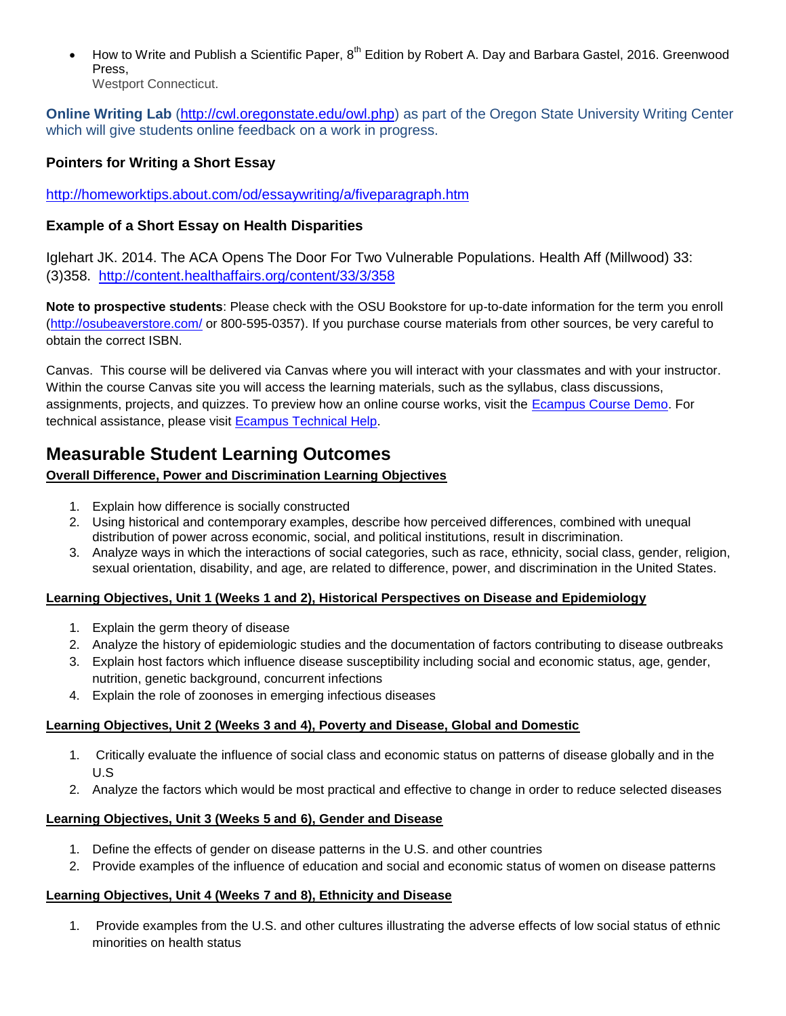How to Write and Publish a Scientific Paper, 8<sup>th</sup> Edition by Robert A. Day and Barbara Gastel, 2016. Greenwood Press,

Westport Connecticut.

**Online Writing Lab** [\(http://cwl.oregonstate.edu/owl.php\)](http://cwl.oregonstate.edu/owl.php) as part of the Oregon State University Writing Center which will give students online feedback on a work in progress.

# **Pointers for Writing a Short Essay**

<http://homeworktips.about.com/od/essaywriting/a/fiveparagraph.htm>

# **Example of a Short Essay on Health Disparities**

Iglehart JK. 2014. The ACA Opens The Door For Two Vulnerable Populations. Health Aff (Millwood) 33: (3)358. <http://content.healthaffairs.org/content/33/3/358>

**Note to prospective students**: Please check with the OSU Bookstore for up-to-date information for the term you enroll [\(http://osubeaverstore.com/](http://osubeaverstore.com/) or 800-595-0357). If you purchase course materials from other sources, be very careful to obtain the correct ISBN.

Canvas. This course will be delivered via Canvas where you will interact with your classmates and with your instructor. Within the course Canvas site you will access the learning materials, such as the syllabus, class discussions, assignments, projects, and quizzes. To preview how an online course works, visit the [Ecampus Course Demo.](http://ecampus.oregonstate.edu/coursedemo/) For technical assistance, please visit [Ecampus Technical Help.](http://ecampus.oregonstate.edu/services/technical-help.htm)

# **Measurable Student Learning Outcomes**

# **Overall Difference, Power and Discrimination Learning Objectives**

- 1. Explain how difference is socially constructed
- 2. Using historical and contemporary examples, describe how perceived differences, combined with unequal distribution of power across economic, social, and political institutions, result in discrimination.
- 3. Analyze ways in which the interactions of social categories, such as race, ethnicity, social class, gender, religion, sexual orientation, disability, and age, are related to difference, power, and discrimination in the United States.

# **Learning Objectives, Unit 1 (Weeks 1 and 2), Historical Perspectives on Disease and Epidemiology**

- 1. Explain the germ theory of disease
- 2. Analyze the history of epidemiologic studies and the documentation of factors contributing to disease outbreaks
- 3. Explain host factors which influence disease susceptibility including social and economic status, age, gender, nutrition, genetic background, concurrent infections
- 4. Explain the role of zoonoses in emerging infectious diseases

# **Learning Objectives, Unit 2 (Weeks 3 and 4), Poverty and Disease, Global and Domestic**

- 1. Critically evaluate the influence of social class and economic status on patterns of disease globally and in the U.S
- 2. Analyze the factors which would be most practical and effective to change in order to reduce selected diseases

# **Learning Objectives, Unit 3 (Weeks 5 and 6), Gender and Disease**

- 1. Define the effects of gender on disease patterns in the U.S. and other countries
- 2. Provide examples of the influence of education and social and economic status of women on disease patterns

# **Learning Objectives, Unit 4 (Weeks 7 and 8), Ethnicity and Disease**

1. Provide examples from the U.S. and other cultures illustrating the adverse effects of low social status of ethnic minorities on health status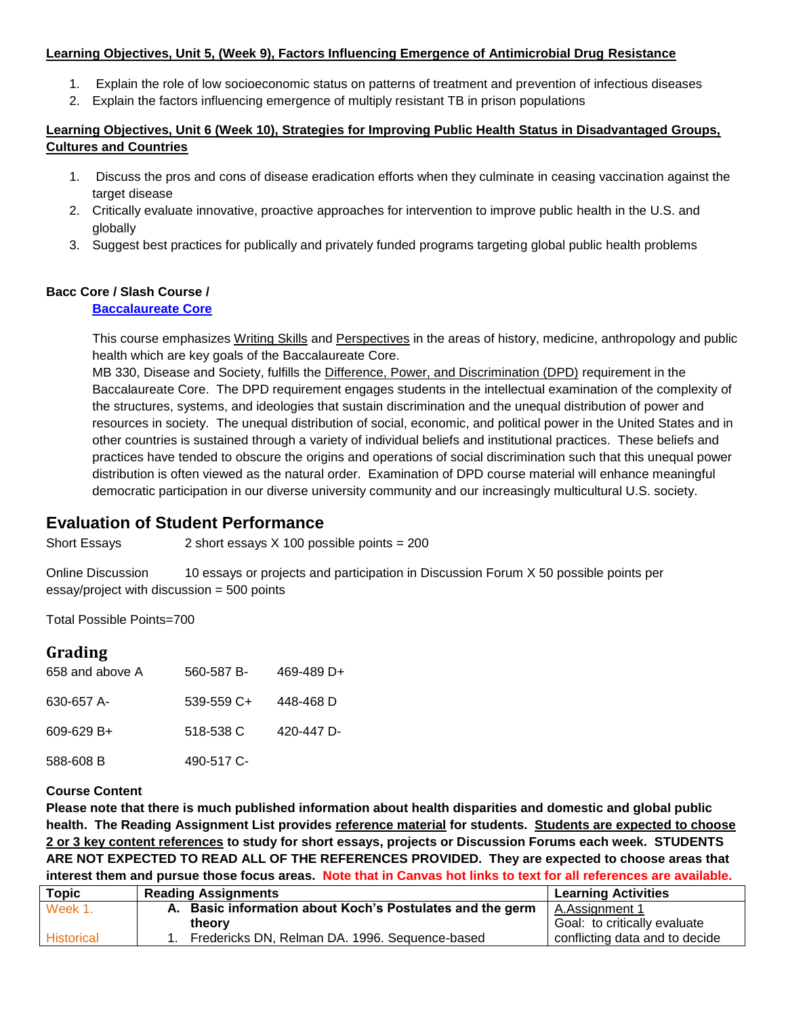#### **Learning Objectives, Unit 5, (Week 9), Factors Influencing Emergence of Antimicrobial Drug Resistance**

- 1. Explain the role of low socioeconomic status on patterns of treatment and prevention of infectious diseases
- 2. Explain the factors influencing emergence of multiply resistant TB in prison populations

### **Learning Objectives, Unit 6 (Week 10), Strategies for Improving Public Health Status in Disadvantaged Groups, Cultures and Countries**

- 1. Discuss the pros and cons of disease eradication efforts when they culminate in ceasing vaccination against the target disease
- 2. Critically evaluate innovative, proactive approaches for intervention to improve public health in the U.S. and globally
- 3. Suggest best practices for publically and privately funded programs targeting global public health problems

## **Bacc Core / Slash Course /**

#### **[Baccalaureate Core](http://oregonstate.edu/admin/aa/apaa/baccalaureate-core-bacc-core)**

This course emphasizes Writing Skills and Perspectives in the areas of history, medicine, anthropology and public health which are key goals of the Baccalaureate Core.

MB 330, Disease and Society, fulfills the Difference, Power, and Discrimination (DPD) requirement in the Baccalaureate Core. The DPD requirement engages students in the intellectual examination of the complexity of the structures, systems, and ideologies that sustain discrimination and the unequal distribution of power and resources in society. The unequal distribution of social, economic, and political power in the United States and in other countries is sustained through a variety of individual beliefs and institutional practices. These beliefs and practices have tended to obscure the origins and operations of social discrimination such that this unequal power distribution is often viewed as the natural order. Examination of DPD course material will enhance meaningful democratic participation in our diverse university community and our increasingly multicultural U.S. society.

# **Evaluation of Student Performance**

Short Essays 2 short essays X 100 possible points = 200

Online Discussion 10 essays or projects and participation in Discussion Forum X 50 possible points per essay/project with discussion = 500 points

Total Possible Points=700

# **Grading**

| 658 and above A | 560-587 B- | 469-489 D+ |
|-----------------|------------|------------|
| 630-657 A-      | 539-559 C+ | 448-468 D  |
| $609 - 629 B +$ | 518-538 C  | 420-447 D- |
| 588-608 B       | 490-517 C- |            |

#### **Course Content**

**Please note that there is much published information about health disparities and domestic and global public health. The Reading Assignment List provides reference material for students. Students are expected to choose 2 or 3 key content references to study for short essays, projects or Discussion Forums each week. STUDENTS ARE NOT EXPECTED TO READ ALL OF THE REFERENCES PROVIDED. They are expected to choose areas that interest them and pursue those focus areas. Note that in Canvas hot links to text for all references are available.**

| <b>Topic</b> | <b>Reading Assignments</b>                                | <b>Learning Activities</b>     |
|--------------|-----------------------------------------------------------|--------------------------------|
| Week 1.      | A. Basic information about Koch's Postulates and the germ | A.Assignment 1                 |
|              | theory                                                    | Goal: to critically evaluate   |
| Historical   | Fredericks DN, Relman DA. 1996. Sequence-based            | conflicting data and to decide |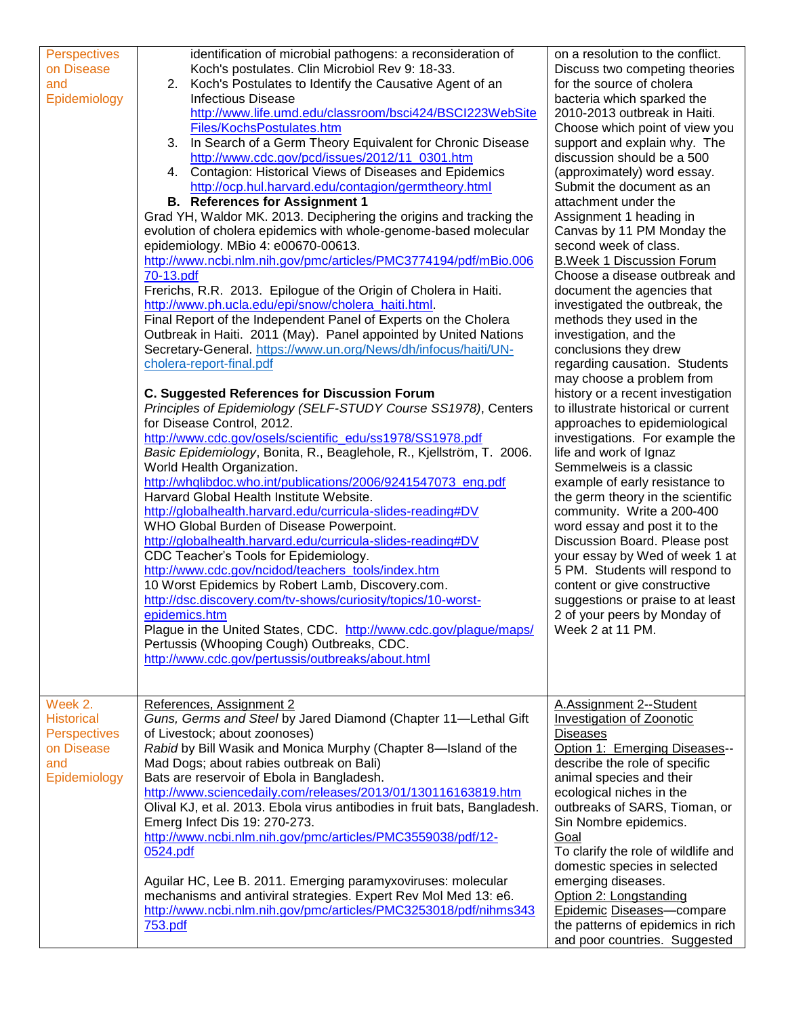| <b>Perspectives</b> | identification of microbial pathogens: a reconsideration of               | on a resolution to the conflict.    |
|---------------------|---------------------------------------------------------------------------|-------------------------------------|
| on Disease          | Koch's postulates. Clin Microbiol Rev 9: 18-33.                           | Discuss two competing theories      |
| and                 | 2. Koch's Postulates to Identify the Causative Agent of an                | for the source of cholera           |
| Epidemiology        | <b>Infectious Disease</b>                                                 | bacteria which sparked the          |
|                     | http://www.life.umd.edu/classroom/bsci424/BSCI223WebSite                  | 2010-2013 outbreak in Haiti.        |
|                     | Files/KochsPostulates.htm                                                 | Choose which point of view you      |
|                     | 3. In Search of a Germ Theory Equivalent for Chronic Disease              | support and explain why. The        |
|                     | http://www.cdc.gov/pcd/issues/2012/11_0301.htm                            | discussion should be a 500          |
|                     | 4. Contagion: Historical Views of Diseases and Epidemics                  | (approximately) word essay.         |
|                     | http://ocp.hul.harvard.edu/contagion/germtheory.html                      | Submit the document as an           |
|                     | <b>B.</b> References for Assignment 1                                     | attachment under the                |
|                     | Grad YH, Waldor MK. 2013. Deciphering the origins and tracking the        | Assignment 1 heading in             |
|                     | evolution of cholera epidemics with whole-genome-based molecular          | Canvas by 11 PM Monday the          |
|                     | epidemiology. MBio 4: e00670-00613.                                       | second week of class.               |
|                     | http://www.ncbi.nlm.nih.gov/pmc/articles/PMC3774194/pdf/mBio.006          | <b>B.Week 1 Discussion Forum</b>    |
|                     | 70-13.pdf                                                                 | Choose a disease outbreak and       |
|                     | Frerichs, R.R. 2013. Epilogue of the Origin of Cholera in Haiti.          | document the agencies that          |
|                     | http://www.ph.ucla.edu/epi/snow/cholera_haiti.html.                       | investigated the outbreak, the      |
|                     | Final Report of the Independent Panel of Experts on the Cholera           | methods they used in the            |
|                     | Outbreak in Haiti. 2011 (May). Panel appointed by United Nations          | investigation, and the              |
|                     | Secretary-General. https://www.un.org/News/dh/infocus/haiti/UN-           | conclusions they drew               |
|                     | cholera-report-final.pdf                                                  | regarding causation. Students       |
|                     |                                                                           | may choose a problem from           |
|                     | <b>C. Suggested References for Discussion Forum</b>                       | history or a recent investigation   |
|                     | Principles of Epidemiology (SELF-STUDY Course SS1978), Centers            | to illustrate historical or current |
|                     | for Disease Control, 2012.                                                | approaches to epidemiological       |
|                     | http://www.cdc.gov/osels/scientific_edu/ss1978/SS1978.pdf                 | investigations. For example the     |
|                     | Basic Epidemiology, Bonita, R., Beaglehole, R., Kjellström, T. 2006.      | life and work of Ignaz              |
|                     | World Health Organization.                                                | Semmelweis is a classic             |
|                     | http://whqlibdoc.who.int/publications/2006/9241547073_eng.pdf             | example of early resistance to      |
|                     | Harvard Global Health Institute Website.                                  | the germ theory in the scientific   |
|                     | http://globalhealth.harvard.edu/curricula-slides-reading#DV               | community. Write a 200-400          |
|                     | WHO Global Burden of Disease Powerpoint.                                  | word essay and post it to the       |
|                     | http://globalhealth.harvard.edu/curricula-slides-reading#DV               | Discussion Board. Please post       |
|                     | CDC Teacher's Tools for Epidemiology.                                     | your essay by Wed of week 1 at      |
|                     | http://www.cdc.gov/ncidod/teachers_tools/index.htm                        | 5 PM. Students will respond to      |
|                     | 10 Worst Epidemics by Robert Lamb, Discovery.com.                         | content or give constructive        |
|                     | http://dsc.discovery.com/tv-shows/curiosity/topics/10-worst-              | suggestions or praise to at least   |
|                     | epidemics.htm                                                             | 2 of your peers by Monday of        |
|                     | Plague in the United States, CDC. http://www.cdc.gov/plague/maps/         | Week 2 at 11 PM.                    |
|                     | Pertussis (Whooping Cough) Outbreaks, CDC.                                |                                     |
|                     | http://www.cdc.gov/pertussis/outbreaks/about.html                         |                                     |
|                     |                                                                           |                                     |
| Week 2.             | References, Assignment 2                                                  | A.Assignment 2--Student             |
| <b>Historical</b>   | Guns, Germs and Steel by Jared Diamond (Chapter 11-Lethal Gift            | <b>Investigation of Zoonotic</b>    |
| Perspectives        | of Livestock; about zoonoses)                                             | <b>Diseases</b>                     |
| on Disease          | Rabid by Bill Wasik and Monica Murphy (Chapter 8-Island of the            | Option 1: Emerging Diseases--       |
| and                 | Mad Dogs; about rabies outbreak on Bali)                                  | describe the role of specific       |
| Epidemiology        | Bats are reservoir of Ebola in Bangladesh.                                | animal species and their            |
|                     | http://www.sciencedaily.com/releases/2013/01/130116163819.htm             | ecological niches in the            |
|                     | Olival KJ, et al. 2013. Ebola virus antibodies in fruit bats, Bangladesh. | outbreaks of SARS, Tioman, or       |
|                     | Emerg Infect Dis 19: 270-273.                                             | Sin Nombre epidemics.               |
|                     | http://www.ncbi.nlm.nih.gov/pmc/articles/PMC3559038/pdf/12-               | Goal                                |
|                     | 0524.pdf                                                                  | To clarify the role of wildlife and |
|                     |                                                                           | domestic species in selected        |
|                     | Aguilar HC, Lee B. 2011. Emerging paramyxoviruses: molecular              | emerging diseases.                  |
|                     | mechanisms and antiviral strategies. Expert Rev Mol Med 13: e6.           | Option 2: Longstanding              |
|                     | http://www.ncbi.nlm.nih.gov/pmc/articles/PMC3253018/pdf/nihms343          | Epidemic Diseases-compare           |
|                     | 753.pdf                                                                   | the patterns of epidemics in rich   |
|                     |                                                                           | and poor countries. Suggested       |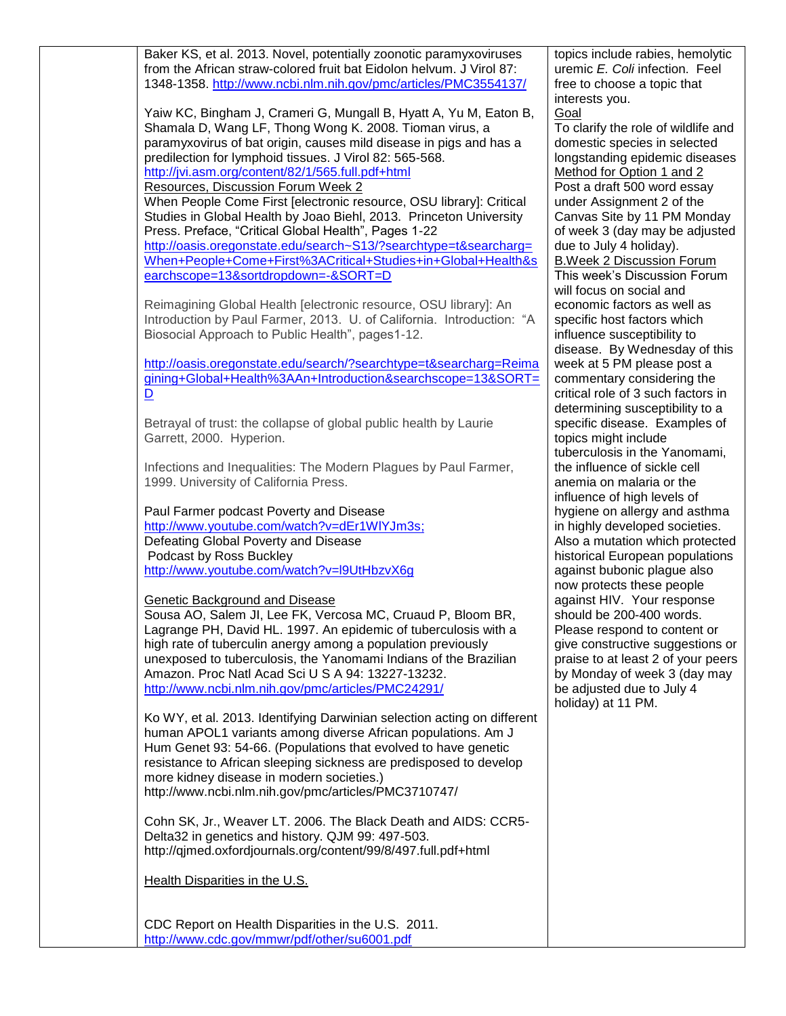| Baker KS, et al. 2013. Novel, potentially zoonotic paramyxoviruses<br>from the African straw-colored fruit bat Eidolon helvum. J Virol 87:<br>1348-1358. http://www.ncbi.nlm.nih.gov/pmc/articles/PMC3554137/ | topics include rabies, hemolytic<br>uremic E. Coli infection. Feel<br>free to choose a topic that |
|---------------------------------------------------------------------------------------------------------------------------------------------------------------------------------------------------------------|---------------------------------------------------------------------------------------------------|
|                                                                                                                                                                                                               | interests you.                                                                                    |
| Yaiw KC, Bingham J, Crameri G, Mungall B, Hyatt A, Yu M, Eaton B,<br>Shamala D, Wang LF, Thong Wong K. 2008. Tioman virus, a                                                                                  | Goal<br>To clarify the role of wildlife and                                                       |
| paramyxovirus of bat origin, causes mild disease in pigs and has a                                                                                                                                            | domestic species in selected                                                                      |
| predilection for lymphoid tissues. J Virol 82: 565-568.                                                                                                                                                       | longstanding epidemic diseases                                                                    |
| http://jvi.asm.org/content/82/1/565.full.pdf+html                                                                                                                                                             | Method for Option 1 and 2                                                                         |
| Resources, Discussion Forum Week 2                                                                                                                                                                            | Post a draft 500 word essay                                                                       |
| When People Come First [electronic resource, OSU library]: Critical<br>Studies in Global Health by Joao Biehl, 2013. Princeton University                                                                     | under Assignment 2 of the<br>Canvas Site by 11 PM Monday                                          |
| Press. Preface, "Critical Global Health", Pages 1-22                                                                                                                                                          | of week 3 (day may be adjusted                                                                    |
| http://oasis.oregonstate.edu/search~S13/?searchtype=t&searcharg=<br>When+People+Come+First%3ACritical+Studies+in+Global+Health&s                                                                              | due to July 4 holiday).                                                                           |
| earchscope=13&sortdropdown=-&SORT=D                                                                                                                                                                           | <b>B.Week 2 Discussion Forum</b><br>This week's Discussion Forum                                  |
|                                                                                                                                                                                                               | will focus on social and                                                                          |
| Reimagining Global Health [electronic resource, OSU library]: An                                                                                                                                              | economic factors as well as                                                                       |
| Introduction by Paul Farmer, 2013. U. of California. Introduction: "A                                                                                                                                         | specific host factors which                                                                       |
| Biosocial Approach to Public Health", pages1-12.                                                                                                                                                              | influence susceptibility to                                                                       |
|                                                                                                                                                                                                               | disease. By Wednesday of this                                                                     |
| http://oasis.oregonstate.edu/search/?searchtype=t&searcharg=Reima                                                                                                                                             | week at 5 PM please post a                                                                        |
| gining+Global+Health%3AAn+Introduction&searchscope=13&SORT=                                                                                                                                                   | commentary considering the                                                                        |
| $\overline{\mathsf{D}}$                                                                                                                                                                                       | critical role of 3 such factors in                                                                |
|                                                                                                                                                                                                               | determining susceptibility to a                                                                   |
| Betrayal of trust: the collapse of global public health by Laurie<br>Garrett, 2000. Hyperion.                                                                                                                 | specific disease. Examples of<br>topics might include                                             |
|                                                                                                                                                                                                               | tuberculosis in the Yanomami,                                                                     |
| Infections and Inequalities: The Modern Plagues by Paul Farmer,                                                                                                                                               | the influence of sickle cell                                                                      |
| 1999. University of California Press.                                                                                                                                                                         | anemia on malaria or the                                                                          |
|                                                                                                                                                                                                               | influence of high levels of                                                                       |
| Paul Farmer podcast Poverty and Disease                                                                                                                                                                       | hygiene on allergy and asthma                                                                     |
| http://www.youtube.com/watch?v=dEr1WIYJm3s;                                                                                                                                                                   | in highly developed societies.                                                                    |
| Defeating Global Poverty and Disease                                                                                                                                                                          | Also a mutation which protected                                                                   |
| Podcast by Ross Buckley                                                                                                                                                                                       | historical European populations                                                                   |
| http://www.youtube.com/watch?v=l9UtHbzvX6g                                                                                                                                                                    | against bubonic plague also                                                                       |
| Genetic Background and Disease                                                                                                                                                                                | now protects these people<br>against HIV. Your response                                           |
| Sousa AO, Salem JI, Lee FK, Vercosa MC, Cruaud P, Bloom BR,                                                                                                                                                   | should be 200-400 words.                                                                          |
| Lagrange PH, David HL. 1997. An epidemic of tuberculosis with a                                                                                                                                               | Please respond to content or                                                                      |
| high rate of tuberculin anergy among a population previously                                                                                                                                                  | give constructive suggestions or                                                                  |
| unexposed to tuberculosis, the Yanomami Indians of the Brazilian                                                                                                                                              | praise to at least 2 of your peers                                                                |
| Amazon. Proc Natl Acad Sci U S A 94: 13227-13232.                                                                                                                                                             | by Monday of week 3 (day may                                                                      |
| http://www.ncbi.nlm.nih.gov/pmc/articles/PMC24291/                                                                                                                                                            | be adjusted due to July 4                                                                         |
|                                                                                                                                                                                                               | holiday) at 11 PM.                                                                                |
| Ko WY, et al. 2013. Identifying Darwinian selection acting on different                                                                                                                                       |                                                                                                   |
| human APOL1 variants among diverse African populations. Am J                                                                                                                                                  |                                                                                                   |
| Hum Genet 93: 54-66. (Populations that evolved to have genetic                                                                                                                                                |                                                                                                   |
| resistance to African sleeping sickness are predisposed to develop<br>more kidney disease in modern societies.)                                                                                               |                                                                                                   |
| http://www.ncbi.nlm.nih.gov/pmc/articles/PMC3710747/                                                                                                                                                          |                                                                                                   |
|                                                                                                                                                                                                               |                                                                                                   |
| Cohn SK, Jr., Weaver LT. 2006. The Black Death and AIDS: CCR5-                                                                                                                                                |                                                                                                   |
| Delta32 in genetics and history. QJM 99: 497-503.                                                                                                                                                             |                                                                                                   |
| http://qimed.oxfordjournals.org/content/99/8/497.full.pdf+html                                                                                                                                                |                                                                                                   |
| Health Disparities in the U.S.                                                                                                                                                                                |                                                                                                   |
|                                                                                                                                                                                                               |                                                                                                   |
|                                                                                                                                                                                                               |                                                                                                   |
| CDC Report on Health Disparities in the U.S. 2011.                                                                                                                                                            |                                                                                                   |
| http://www.cdc.gov/mmwr/pdf/other/su6001.pdf                                                                                                                                                                  |                                                                                                   |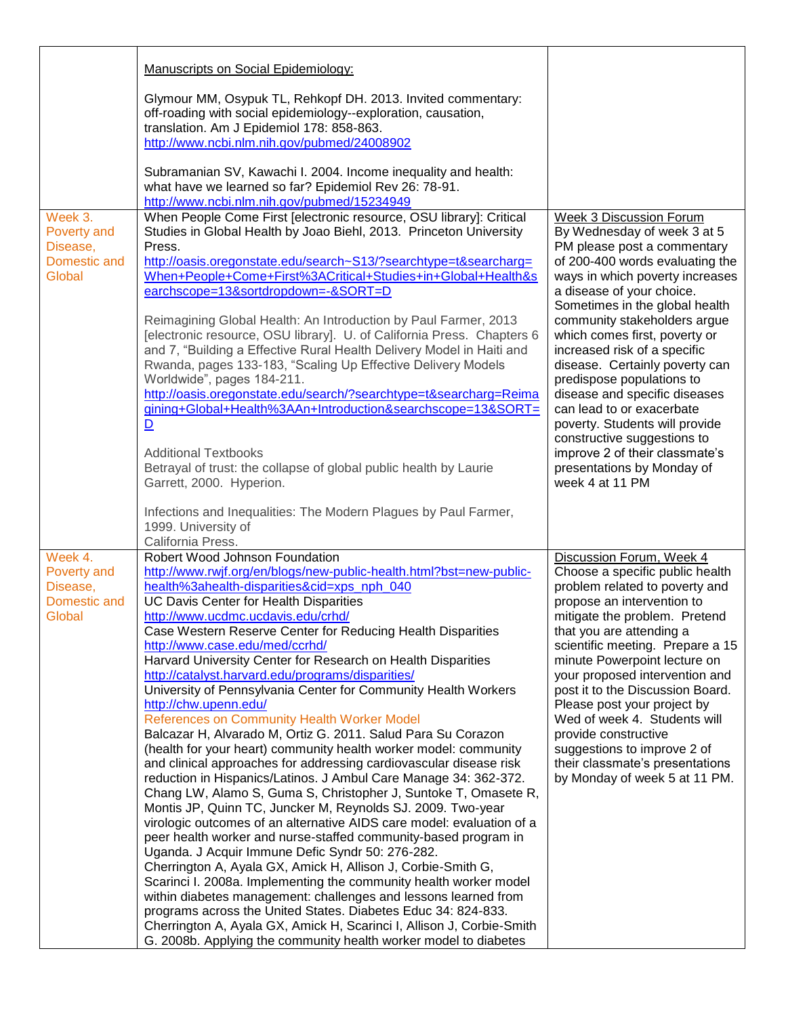|                                                              | Manuscripts on Social Epidemiology:                                                                                                                                                                                                                                                                                                                                                                                                                                                                                                                                                                                                                                                                                                                                                                                                                                                                                                                                                                                                                                                                                                                                                                                                                                                                                                                                                                                                                                                                                                                                                                                                               |                                                                                                                                                                                                                                                                                                                                                                                                                                                                                                                                                                                                                     |
|--------------------------------------------------------------|---------------------------------------------------------------------------------------------------------------------------------------------------------------------------------------------------------------------------------------------------------------------------------------------------------------------------------------------------------------------------------------------------------------------------------------------------------------------------------------------------------------------------------------------------------------------------------------------------------------------------------------------------------------------------------------------------------------------------------------------------------------------------------------------------------------------------------------------------------------------------------------------------------------------------------------------------------------------------------------------------------------------------------------------------------------------------------------------------------------------------------------------------------------------------------------------------------------------------------------------------------------------------------------------------------------------------------------------------------------------------------------------------------------------------------------------------------------------------------------------------------------------------------------------------------------------------------------------------------------------------------------------------|---------------------------------------------------------------------------------------------------------------------------------------------------------------------------------------------------------------------------------------------------------------------------------------------------------------------------------------------------------------------------------------------------------------------------------------------------------------------------------------------------------------------------------------------------------------------------------------------------------------------|
|                                                              | Glymour MM, Osypuk TL, Rehkopf DH. 2013. Invited commentary:<br>off-roading with social epidemiology--exploration, causation,<br>translation. Am J Epidemiol 178: 858-863.<br>http://www.ncbi.nlm.nih.gov/pubmed/24008902                                                                                                                                                                                                                                                                                                                                                                                                                                                                                                                                                                                                                                                                                                                                                                                                                                                                                                                                                                                                                                                                                                                                                                                                                                                                                                                                                                                                                         |                                                                                                                                                                                                                                                                                                                                                                                                                                                                                                                                                                                                                     |
|                                                              | Subramanian SV, Kawachi I. 2004. Income inequality and health:<br>what have we learned so far? Epidemiol Rev 26: 78-91.<br>http://www.ncbi.nlm.nih.gov/pubmed/15234949                                                                                                                                                                                                                                                                                                                                                                                                                                                                                                                                                                                                                                                                                                                                                                                                                                                                                                                                                                                                                                                                                                                                                                                                                                                                                                                                                                                                                                                                            |                                                                                                                                                                                                                                                                                                                                                                                                                                                                                                                                                                                                                     |
| Week 3.<br>Poverty and<br>Disease,<br>Domestic and<br>Global | When People Come First [electronic resource, OSU library]: Critical<br>Studies in Global Health by Joao Biehl, 2013. Princeton University<br>Press.<br>http://oasis.oregonstate.edu/search~S13/?searchtype=t&searcharg=<br>When+People+Come+First%3ACritical+Studies+in+Global+Health&s<br>earchscope=13&sortdropdown=-&SORT=D<br>Reimagining Global Health: An Introduction by Paul Farmer, 2013<br>[electronic resource, OSU library]. U. of California Press. Chapters 6<br>and 7, "Building a Effective Rural Health Delivery Model in Haiti and<br>Rwanda, pages 133-183, "Scaling Up Effective Delivery Models<br>Worldwide", pages 184-211.<br>http://oasis.oregonstate.edu/search/?searchtype=t&searcharg=Reima<br>gining+Global+Health%3AAn+Introduction&searchscope=13&SORT=<br>$\overline{\mathsf{D}}$<br><b>Additional Textbooks</b><br>Betrayal of trust: the collapse of global public health by Laurie<br>Garrett, 2000. Hyperion.                                                                                                                                                                                                                                                                                                                                                                                                                                                                                                                                                                                                                                                                                                 | <b>Week 3 Discussion Forum</b><br>By Wednesday of week 3 at 5<br>PM please post a commentary<br>of 200-400 words evaluating the<br>ways in which poverty increases<br>a disease of your choice.<br>Sometimes in the global health<br>community stakeholders argue<br>which comes first, poverty or<br>increased risk of a specific<br>disease. Certainly poverty can<br>predispose populations to<br>disease and specific diseases<br>can lead to or exacerbate<br>poverty. Students will provide<br>constructive suggestions to<br>improve 2 of their classmate's<br>presentations by Monday of<br>week 4 at 11 PM |
|                                                              | Infections and Inequalities: The Modern Plagues by Paul Farmer,<br>1999. University of<br>California Press.                                                                                                                                                                                                                                                                                                                                                                                                                                                                                                                                                                                                                                                                                                                                                                                                                                                                                                                                                                                                                                                                                                                                                                                                                                                                                                                                                                                                                                                                                                                                       |                                                                                                                                                                                                                                                                                                                                                                                                                                                                                                                                                                                                                     |
| Week 4.<br>Poverty and<br>Disease,<br>Domestic and<br>Global | Robert Wood Johnson Foundation<br>http://www.rwjf.org/en/blogs/new-public-health.html?bst=new-public-<br>health%3ahealth-disparities&cid=xps_nph_040<br><b>UC Davis Center for Health Disparities</b><br>http://www.ucdmc.ucdavis.edu/crhd/<br>Case Western Reserve Center for Reducing Health Disparities<br>http://www.case.edu/med/ccrhd/<br>Harvard University Center for Research on Health Disparities<br>http://catalyst.harvard.edu/programs/disparities/<br>University of Pennsylvania Center for Community Health Workers<br>http://chw.upenn.edu/<br>References on Community Health Worker Model<br>Balcazar H, Alvarado M, Ortiz G. 2011. Salud Para Su Corazon<br>(health for your heart) community health worker model: community<br>and clinical approaches for addressing cardiovascular disease risk<br>reduction in Hispanics/Latinos. J Ambul Care Manage 34: 362-372.<br>Chang LW, Alamo S, Guma S, Christopher J, Suntoke T, Omasete R,<br>Montis JP, Quinn TC, Juncker M, Reynolds SJ. 2009. Two-year<br>virologic outcomes of an alternative AIDS care model: evaluation of a<br>peer health worker and nurse-staffed community-based program in<br>Uganda. J Acquir Immune Defic Syndr 50: 276-282.<br>Cherrington A, Ayala GX, Amick H, Allison J, Corbie-Smith G,<br>Scarinci I. 2008a. Implementing the community health worker model<br>within diabetes management: challenges and lessons learned from<br>programs across the United States. Diabetes Educ 34: 824-833.<br>Cherrington A, Ayala GX, Amick H, Scarinci I, Allison J, Corbie-Smith<br>G. 2008b. Applying the community health worker model to diabetes | Discussion Forum, Week 4<br>Choose a specific public health<br>problem related to poverty and<br>propose an intervention to<br>mitigate the problem. Pretend<br>that you are attending a<br>scientific meeting. Prepare a 15<br>minute Powerpoint lecture on<br>your proposed intervention and<br>post it to the Discussion Board.<br>Please post your project by<br>Wed of week 4. Students will<br>provide constructive<br>suggestions to improve 2 of<br>their classmate's presentations<br>by Monday of week 5 at 11 PM.                                                                                        |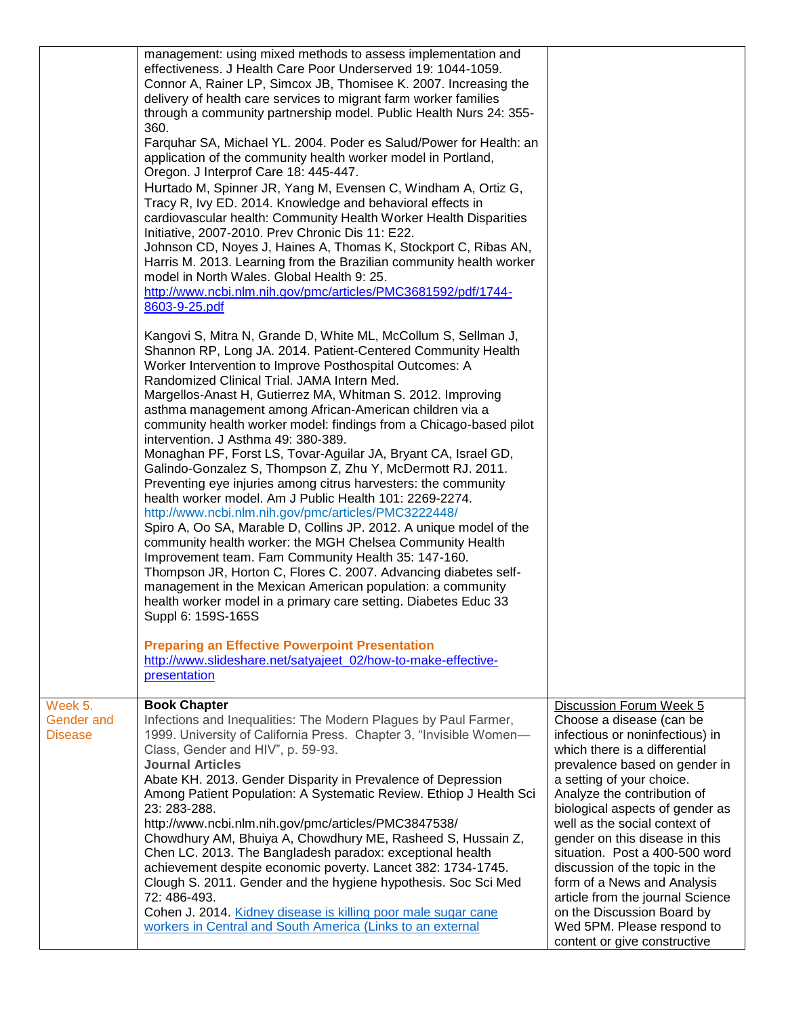|                                                | management: using mixed methods to assess implementation and<br>effectiveness. J Health Care Poor Underserved 19: 1044-1059.<br>Connor A, Rainer LP, Simcox JB, Thomisee K. 2007. Increasing the<br>delivery of health care services to migrant farm worker families<br>through a community partnership model. Public Health Nurs 24: 355-<br>360.<br>Farquhar SA, Michael YL. 2004. Poder es Salud/Power for Health: an<br>application of the community health worker model in Portland,<br>Oregon. J Interprof Care 18: 445-447.<br>Hurtado M, Spinner JR, Yang M, Evensen C, Windham A, Ortiz G,<br>Tracy R, Ivy ED. 2014. Knowledge and behavioral effects in<br>cardiovascular health: Community Health Worker Health Disparities<br>Initiative, 2007-2010. Prev Chronic Dis 11: E22.<br>Johnson CD, Noyes J, Haines A, Thomas K, Stockport C, Ribas AN,<br>Harris M. 2013. Learning from the Brazilian community health worker<br>model in North Wales. Global Health 9: 25.<br>http://www.ncbi.nlm.nih.gov/pmc/articles/PMC3681592/pdf/1744-<br>8603-9-25.pdf<br>Kangovi S, Mitra N, Grande D, White ML, McCollum S, Sellman J,<br>Shannon RP, Long JA. 2014. Patient-Centered Community Health<br>Worker Intervention to Improve Posthospital Outcomes: A<br>Randomized Clinical Trial. JAMA Intern Med.<br>Margellos-Anast H, Gutierrez MA, Whitman S. 2012. Improving<br>asthma management among African-American children via a<br>community health worker model: findings from a Chicago-based pilot<br>intervention. J Asthma 49: 380-389.<br>Monaghan PF, Forst LS, Tovar-Aguilar JA, Bryant CA, Israel GD,<br>Galindo-Gonzalez S, Thompson Z, Zhu Y, McDermott RJ. 2011.<br>Preventing eye injuries among citrus harvesters: the community<br>health worker model. Am J Public Health 101: 2269-2274.<br>http://www.ncbi.nlm.nih.gov/pmc/articles/PMC3222448/<br>Spiro A, Oo SA, Marable D, Collins JP. 2012. A unique model of the<br>community health worker: the MGH Chelsea Community Health<br>Improvement team. Fam Community Health 35: 147-160.<br>Thompson JR, Horton C, Flores C. 2007. Advancing diabetes self-<br>management in the Mexican American population: a community<br>health worker model in a primary care setting. Diabetes Educ 33<br>Suppl 6: 159S-165S<br><b>Preparing an Effective Powerpoint Presentation</b> |                                                                                                                                                                                                                                                                                                                                                                                                                                                                                                                                                               |
|------------------------------------------------|-----------------------------------------------------------------------------------------------------------------------------------------------------------------------------------------------------------------------------------------------------------------------------------------------------------------------------------------------------------------------------------------------------------------------------------------------------------------------------------------------------------------------------------------------------------------------------------------------------------------------------------------------------------------------------------------------------------------------------------------------------------------------------------------------------------------------------------------------------------------------------------------------------------------------------------------------------------------------------------------------------------------------------------------------------------------------------------------------------------------------------------------------------------------------------------------------------------------------------------------------------------------------------------------------------------------------------------------------------------------------------------------------------------------------------------------------------------------------------------------------------------------------------------------------------------------------------------------------------------------------------------------------------------------------------------------------------------------------------------------------------------------------------------------------------------------------------------------------------------------------------------------------------------------------------------------------------------------------------------------------------------------------------------------------------------------------------------------------------------------------------------------------------------------------------------------------------------------------------------------------------------------------------------------------------------------------------------------------------------|---------------------------------------------------------------------------------------------------------------------------------------------------------------------------------------------------------------------------------------------------------------------------------------------------------------------------------------------------------------------------------------------------------------------------------------------------------------------------------------------------------------------------------------------------------------|
|                                                | http://www.slideshare.net/satyajeet_02/how-to-make-effective-<br>presentation                                                                                                                                                                                                                                                                                                                                                                                                                                                                                                                                                                                                                                                                                                                                                                                                                                                                                                                                                                                                                                                                                                                                                                                                                                                                                                                                                                                                                                                                                                                                                                                                                                                                                                                                                                                                                                                                                                                                                                                                                                                                                                                                                                                                                                                                             |                                                                                                                                                                                                                                                                                                                                                                                                                                                                                                                                                               |
| Week 5.<br><b>Gender and</b><br><b>Disease</b> | <b>Book Chapter</b><br>Infections and Inequalities: The Modern Plagues by Paul Farmer,<br>1999. University of California Press. Chapter 3, "Invisible Women-<br>Class, Gender and HIV", p. 59-93.<br><b>Journal Articles</b><br>Abate KH. 2013. Gender Disparity in Prevalence of Depression<br>Among Patient Population: A Systematic Review. Ethiop J Health Sci<br>23: 283-288.<br>http://www.ncbi.nlm.nih.gov/pmc/articles/PMC3847538/<br>Chowdhury AM, Bhuiya A, Chowdhury ME, Rasheed S, Hussain Z,<br>Chen LC. 2013. The Bangladesh paradox: exceptional health<br>achievement despite economic poverty. Lancet 382: 1734-1745.<br>Clough S. 2011. Gender and the hygiene hypothesis. Soc Sci Med<br>72: 486-493.<br>Cohen J. 2014. Kidney disease is killing poor male sugar cane<br>workers in Central and South America (Links to an external                                                                                                                                                                                                                                                                                                                                                                                                                                                                                                                                                                                                                                                                                                                                                                                                                                                                                                                                                                                                                                                                                                                                                                                                                                                                                                                                                                                                                                                                                                   | Discussion Forum Week 5<br>Choose a disease (can be<br>infectious or noninfectious) in<br>which there is a differential<br>prevalence based on gender in<br>a setting of your choice.<br>Analyze the contribution of<br>biological aspects of gender as<br>well as the social context of<br>gender on this disease in this<br>situation. Post a 400-500 word<br>discussion of the topic in the<br>form of a News and Analysis<br>article from the journal Science<br>on the Discussion Board by<br>Wed 5PM. Please respond to<br>content or give constructive |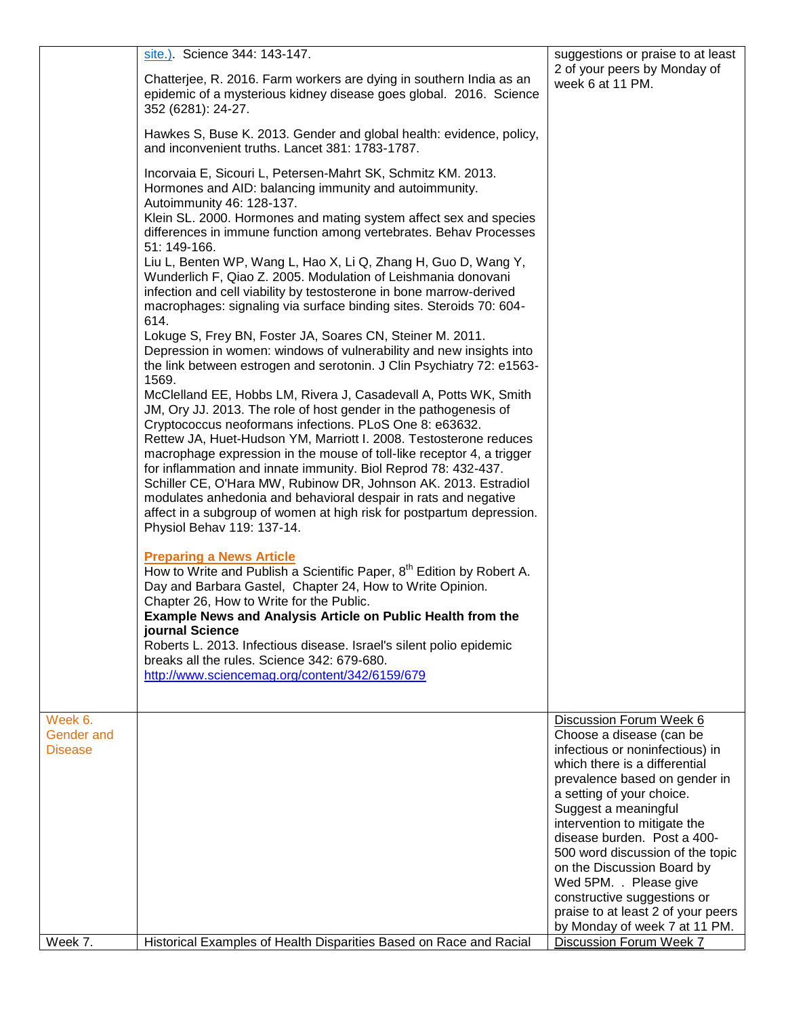|                                                | site.). Science 344: 143-147.<br>Chatterjee, R. 2016. Farm workers are dying in southern India as an<br>epidemic of a mysterious kidney disease goes global. 2016. Science<br>352 (6281): 24-27.<br>Hawkes S, Buse K. 2013. Gender and global health: evidence, policy,<br>and inconvenient truths. Lancet 381: 1783-1787.<br>Incorvaia E, Sicouri L, Petersen-Mahrt SK, Schmitz KM. 2013.<br>Hormones and AID: balancing immunity and autoimmunity.<br>Autoimmunity 46: 128-137.<br>Klein SL. 2000. Hormones and mating system affect sex and species<br>differences in immune function among vertebrates. Behav Processes<br>51: 149-166.<br>Liu L, Benten WP, Wang L, Hao X, Li Q, Zhang H, Guo D, Wang Y,<br>Wunderlich F, Qiao Z. 2005. Modulation of Leishmania donovani<br>infection and cell viability by testosterone in bone marrow-derived<br>macrophages: signaling via surface binding sites. Steroids 70: 604-<br>614.<br>Lokuge S, Frey BN, Foster JA, Soares CN, Steiner M. 2011.<br>Depression in women: windows of vulnerability and new insights into<br>the link between estrogen and serotonin. J Clin Psychiatry 72: e1563-<br>1569.<br>McClelland EE, Hobbs LM, Rivera J, Casadevall A, Potts WK, Smith<br>JM, Ory JJ. 2013. The role of host gender in the pathogenesis of<br>Cryptococcus neoformans infections. PLoS One 8: e63632.<br>Rettew JA, Huet-Hudson YM, Marriott I. 2008. Testosterone reduces<br>macrophage expression in the mouse of toll-like receptor 4, a trigger<br>for inflammation and innate immunity. Biol Reprod 78: 432-437.<br>Schiller CE, O'Hara MW, Rubinow DR, Johnson AK. 2013. Estradiol<br>modulates anhedonia and behavioral despair in rats and negative<br>affect in a subgroup of women at high risk for postpartum depression.<br>Physiol Behav 119: 137-14.<br><b>Preparing a News Article</b><br>How to Write and Publish a Scientific Paper, 8 <sup>th</sup> Edition by Robert A.<br>Day and Barbara Gastel, Chapter 24, How to Write Opinion.<br>Chapter 26, How to Write for the Public.<br>Example News and Analysis Article on Public Health from the<br>journal Science<br>Roberts L. 2013. Infectious disease. Israel's silent polio epidemic<br>breaks all the rules. Science 342: 679-680.<br>http://www.sciencemag.org/content/342/6159/679 | suggestions or praise to at least<br>2 of your peers by Monday of<br>week 6 at 11 PM.                                                                                                                                                                                                                                                                                                                                                                                          |
|------------------------------------------------|-----------------------------------------------------------------------------------------------------------------------------------------------------------------------------------------------------------------------------------------------------------------------------------------------------------------------------------------------------------------------------------------------------------------------------------------------------------------------------------------------------------------------------------------------------------------------------------------------------------------------------------------------------------------------------------------------------------------------------------------------------------------------------------------------------------------------------------------------------------------------------------------------------------------------------------------------------------------------------------------------------------------------------------------------------------------------------------------------------------------------------------------------------------------------------------------------------------------------------------------------------------------------------------------------------------------------------------------------------------------------------------------------------------------------------------------------------------------------------------------------------------------------------------------------------------------------------------------------------------------------------------------------------------------------------------------------------------------------------------------------------------------------------------------------------------------------------------------------------------------------------------------------------------------------------------------------------------------------------------------------------------------------------------------------------------------------------------------------------------------------------------------------------------------------------------------------------------------------------------------------------------------------------------------------------------------------|--------------------------------------------------------------------------------------------------------------------------------------------------------------------------------------------------------------------------------------------------------------------------------------------------------------------------------------------------------------------------------------------------------------------------------------------------------------------------------|
|                                                |                                                                                                                                                                                                                                                                                                                                                                                                                                                                                                                                                                                                                                                                                                                                                                                                                                                                                                                                                                                                                                                                                                                                                                                                                                                                                                                                                                                                                                                                                                                                                                                                                                                                                                                                                                                                                                                                                                                                                                                                                                                                                                                                                                                                                                                                                                                       |                                                                                                                                                                                                                                                                                                                                                                                                                                                                                |
| Week 6.<br><b>Gender</b> and<br><b>Disease</b> |                                                                                                                                                                                                                                                                                                                                                                                                                                                                                                                                                                                                                                                                                                                                                                                                                                                                                                                                                                                                                                                                                                                                                                                                                                                                                                                                                                                                                                                                                                                                                                                                                                                                                                                                                                                                                                                                                                                                                                                                                                                                                                                                                                                                                                                                                                                       | Discussion Forum Week 6<br>Choose a disease (can be<br>infectious or noninfectious) in<br>which there is a differential<br>prevalence based on gender in<br>a setting of your choice.<br>Suggest a meaningful<br>intervention to mitigate the<br>disease burden. Post a 400-<br>500 word discussion of the topic<br>on the Discussion Board by<br>Wed 5PM. . Please give<br>constructive suggestions or<br>praise to at least 2 of your peers<br>by Monday of week 7 at 11 PM. |
| Week 7.                                        | Historical Examples of Health Disparities Based on Race and Racial                                                                                                                                                                                                                                                                                                                                                                                                                                                                                                                                                                                                                                                                                                                                                                                                                                                                                                                                                                                                                                                                                                                                                                                                                                                                                                                                                                                                                                                                                                                                                                                                                                                                                                                                                                                                                                                                                                                                                                                                                                                                                                                                                                                                                                                    | Discussion Forum Week 7                                                                                                                                                                                                                                                                                                                                                                                                                                                        |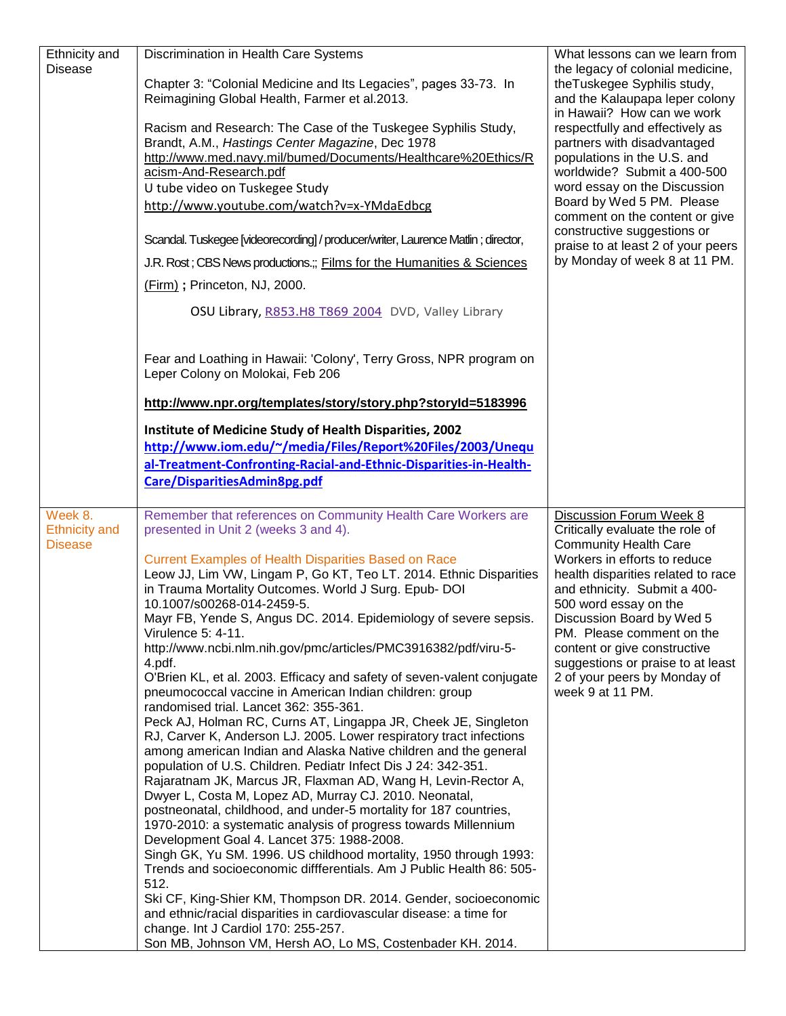| Ethnicity and<br><b>Disease</b>                   | Discrimination in Health Care Systems<br>Chapter 3: "Colonial Medicine and Its Legacies", pages 33-73. In<br>Reimagining Global Health, Farmer et al.2013.<br>Racism and Research: The Case of the Tuskegee Syphilis Study,<br>Brandt, A.M., Hastings Center Magazine, Dec 1978<br>http://www.med.navy.mil/bumed/Documents/Healthcare%20Ethics/R<br>acism-And-Research.pdf<br>U tube video on Tuskegee Study<br>http://www.youtube.com/watch?v=x-YMdaEdbcg<br>Scandal. Tuskegee [videorecording] / producer/writer, Laurence Matlin; director,<br>J.R. Rost; CBS News productions.;; Films for the Humanities & Sciences<br>(Firm); Princeton, NJ, 2000.<br>OSU Library, R853.H8 T869 2004 DVD, Valley Library                                                                                                                                                                                                                                                                                                                                                                                                                                                                                                                                                                                                                                                                                                                                                                                                                                                                                                                                                                              | What lessons can we learn from<br>the legacy of colonial medicine,<br>theTuskegee Syphilis study,<br>and the Kalaupapa leper colony<br>in Hawaii? How can we work<br>respectfully and effectively as<br>partners with disadvantaged<br>populations in the U.S. and<br>worldwide? Submit a 400-500<br>word essay on the Discussion<br>Board by Wed 5 PM. Please<br>comment on the content or give<br>constructive suggestions or<br>praise to at least 2 of your peers<br>by Monday of week 8 at 11 PM. |
|---------------------------------------------------|---------------------------------------------------------------------------------------------------------------------------------------------------------------------------------------------------------------------------------------------------------------------------------------------------------------------------------------------------------------------------------------------------------------------------------------------------------------------------------------------------------------------------------------------------------------------------------------------------------------------------------------------------------------------------------------------------------------------------------------------------------------------------------------------------------------------------------------------------------------------------------------------------------------------------------------------------------------------------------------------------------------------------------------------------------------------------------------------------------------------------------------------------------------------------------------------------------------------------------------------------------------------------------------------------------------------------------------------------------------------------------------------------------------------------------------------------------------------------------------------------------------------------------------------------------------------------------------------------------------------------------------------------------------------------------------------|--------------------------------------------------------------------------------------------------------------------------------------------------------------------------------------------------------------------------------------------------------------------------------------------------------------------------------------------------------------------------------------------------------------------------------------------------------------------------------------------------------|
|                                                   | Fear and Loathing in Hawaii: 'Colony', Terry Gross, NPR program on<br>Leper Colony on Molokai, Feb 206                                                                                                                                                                                                                                                                                                                                                                                                                                                                                                                                                                                                                                                                                                                                                                                                                                                                                                                                                                                                                                                                                                                                                                                                                                                                                                                                                                                                                                                                                                                                                                                      |                                                                                                                                                                                                                                                                                                                                                                                                                                                                                                        |
|                                                   | http://www.npr.org/templates/story/story.php?storyId=5183996                                                                                                                                                                                                                                                                                                                                                                                                                                                                                                                                                                                                                                                                                                                                                                                                                                                                                                                                                                                                                                                                                                                                                                                                                                                                                                                                                                                                                                                                                                                                                                                                                                |                                                                                                                                                                                                                                                                                                                                                                                                                                                                                                        |
|                                                   | Institute of Medicine Study of Health Disparities, 2002<br>http://www.iom.edu/~/media/Files/Report%20Files/2003/Unequ<br>al-Treatment-Confronting-Racial-and-Ethnic-Disparities-in-Health-<br>Care/DisparitiesAdmin8pg.pdf                                                                                                                                                                                                                                                                                                                                                                                                                                                                                                                                                                                                                                                                                                                                                                                                                                                                                                                                                                                                                                                                                                                                                                                                                                                                                                                                                                                                                                                                  |                                                                                                                                                                                                                                                                                                                                                                                                                                                                                                        |
| Week 8.<br><b>Ethnicity and</b><br><b>Disease</b> | Remember that references on Community Health Care Workers are<br>presented in Unit 2 (weeks 3 and 4).<br><b>Current Examples of Health Disparities Based on Race</b><br>Leow JJ, Lim VW, Lingam P, Go KT, Teo LT. 2014. Ethnic Disparities<br>in Trauma Mortality Outcomes. World J Surg. Epub- DOI<br>10.1007/s00268-014-2459-5.<br>Mayr FB, Yende S, Angus DC. 2014. Epidemiology of severe sepsis.<br>Virulence 5: 4-11.<br>http://www.ncbi.nlm.nih.gov/pmc/articles/PMC3916382/pdf/viru-5-<br>4.pdf.<br>O'Brien KL, et al. 2003. Efficacy and safety of seven-valent conjugate<br>pneumococcal vaccine in American Indian children: group<br>randomised trial. Lancet 362: 355-361.<br>Peck AJ, Holman RC, Curns AT, Lingappa JR, Cheek JE, Singleton<br>RJ, Carver K, Anderson LJ. 2005. Lower respiratory tract infections<br>among american Indian and Alaska Native children and the general<br>population of U.S. Children. Pediatr Infect Dis J 24: 342-351.<br>Rajaratnam JK, Marcus JR, Flaxman AD, Wang H, Levin-Rector A,<br>Dwyer L, Costa M, Lopez AD, Murray CJ. 2010. Neonatal,<br>postneonatal, childhood, and under-5 mortality for 187 countries,<br>1970-2010: a systematic analysis of progress towards Millennium<br>Development Goal 4. Lancet 375: 1988-2008.<br>Singh GK, Yu SM. 1996. US childhood mortality, 1950 through 1993:<br>Trends and socioeconomic diffferentials. Am J Public Health 86: 505-<br>512.<br>Ski CF, King-Shier KM, Thompson DR. 2014. Gender, socioeconomic<br>and ethnic/racial disparities in cardiovascular disease: a time for<br>change. Int J Cardiol 170: 255-257.<br>Son MB, Johnson VM, Hersh AO, Lo MS, Costenbader KH. 2014. | Discussion Forum Week 8<br>Critically evaluate the role of<br><b>Community Health Care</b><br>Workers in efforts to reduce<br>health disparities related to race<br>and ethnicity. Submit a 400-<br>500 word essay on the<br>Discussion Board by Wed 5<br>PM. Please comment on the<br>content or give constructive<br>suggestions or praise to at least<br>2 of your peers by Monday of<br>week 9 at 11 PM.                                                                                           |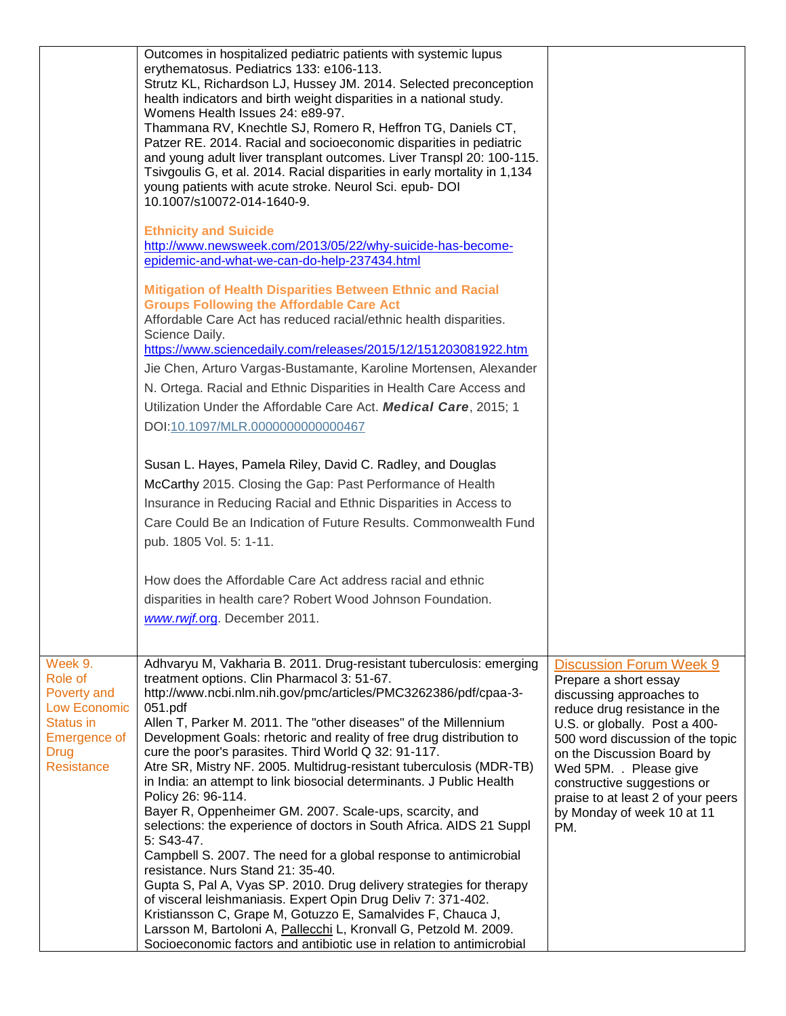|                                                                                                                                  | Outcomes in hospitalized pediatric patients with systemic lupus<br>erythematosus. Pediatrics 133: e106-113.<br>Strutz KL, Richardson LJ, Hussey JM. 2014. Selected preconception<br>health indicators and birth weight disparities in a national study.<br>Womens Health Issues 24: e89-97.<br>Thammana RV, Knechtle SJ, Romero R, Heffron TG, Daniels CT,<br>Patzer RE. 2014. Racial and socioeconomic disparities in pediatric<br>and young adult liver transplant outcomes. Liver Transpl 20: 100-115.<br>Tsivgoulis G, et al. 2014. Racial disparities in early mortality in 1,134<br>young patients with acute stroke. Neurol Sci. epub- DOI<br>10.1007/s10072-014-1640-9.                                                                                                                                                                                                                                                                                                                                                                                                                                 |                                                                                                                                                                                                                                                                                                                                                             |
|----------------------------------------------------------------------------------------------------------------------------------|-----------------------------------------------------------------------------------------------------------------------------------------------------------------------------------------------------------------------------------------------------------------------------------------------------------------------------------------------------------------------------------------------------------------------------------------------------------------------------------------------------------------------------------------------------------------------------------------------------------------------------------------------------------------------------------------------------------------------------------------------------------------------------------------------------------------------------------------------------------------------------------------------------------------------------------------------------------------------------------------------------------------------------------------------------------------------------------------------------------------|-------------------------------------------------------------------------------------------------------------------------------------------------------------------------------------------------------------------------------------------------------------------------------------------------------------------------------------------------------------|
|                                                                                                                                  | <b>Ethnicity and Suicide</b><br>http://www.newsweek.com/2013/05/22/why-suicide-has-become-<br>epidemic-and-what-we-can-do-help-237434.html                                                                                                                                                                                                                                                                                                                                                                                                                                                                                                                                                                                                                                                                                                                                                                                                                                                                                                                                                                      |                                                                                                                                                                                                                                                                                                                                                             |
|                                                                                                                                  | <b>Mitigation of Health Disparities Between Ethnic and Racial</b><br><b>Groups Following the Affordable Care Act</b><br>Affordable Care Act has reduced racial/ethnic health disparities.<br>Science Daily.<br>https://www.sciencedaily.com/releases/2015/12/151203081922.htm<br>Jie Chen, Arturo Vargas-Bustamante, Karoline Mortensen, Alexander<br>N. Ortega. Racial and Ethnic Disparities in Health Care Access and<br>Utilization Under the Affordable Care Act. Medical Care, 2015; 1<br>DOI:10.1097/MLR.0000000000000467                                                                                                                                                                                                                                                                                                                                                                                                                                                                                                                                                                                |                                                                                                                                                                                                                                                                                                                                                             |
|                                                                                                                                  | Susan L. Hayes, Pamela Riley, David C. Radley, and Douglas<br>McCarthy 2015. Closing the Gap: Past Performance of Health<br>Insurance in Reducing Racial and Ethnic Disparities in Access to<br>Care Could Be an Indication of Future Results. Commonwealth Fund<br>pub. 1805 Vol. 5: 1-11.                                                                                                                                                                                                                                                                                                                                                                                                                                                                                                                                                                                                                                                                                                                                                                                                                     |                                                                                                                                                                                                                                                                                                                                                             |
|                                                                                                                                  | How does the Affordable Care Act address racial and ethnic<br>disparities in health care? Robert Wood Johnson Foundation.<br>www.rwjf.org. December 2011.                                                                                                                                                                                                                                                                                                                                                                                                                                                                                                                                                                                                                                                                                                                                                                                                                                                                                                                                                       |                                                                                                                                                                                                                                                                                                                                                             |
| Week 9.<br>Role of<br>Poverty and<br><b>Low Economic</b><br>Status in<br><b>Emergence of</b><br><b>Drug</b><br><b>Resistance</b> | Adhvaryu M, Vakharia B. 2011. Drug-resistant tuberculosis: emerging<br>treatment options. Clin Pharmacol 3: 51-67.<br>http://www.ncbi.nlm.nih.gov/pmc/articles/PMC3262386/pdf/cpaa-3-<br>051.pdf<br>Allen T, Parker M. 2011. The "other diseases" of the Millennium<br>Development Goals: rhetoric and reality of free drug distribution to<br>cure the poor's parasites. Third World Q 32: 91-117.<br>Atre SR, Mistry NF. 2005. Multidrug-resistant tuberculosis (MDR-TB)<br>in India: an attempt to link biosocial determinants. J Public Health<br>Policy 26: 96-114.<br>Bayer R, Oppenheimer GM. 2007. Scale-ups, scarcity, and<br>selections: the experience of doctors in South Africa. AIDS 21 Suppl<br>5: S43-47.<br>Campbell S. 2007. The need for a global response to antimicrobial<br>resistance. Nurs Stand 21: 35-40.<br>Gupta S, Pal A, Vyas SP. 2010. Drug delivery strategies for therapy<br>of visceral leishmaniasis. Expert Opin Drug Deliv 7: 371-402.<br>Kristiansson C, Grape M, Gotuzzo E, Samalvides F, Chauca J,<br>Larsson M, Bartoloni A, Pallecchi L, Kronvall G, Petzold M. 2009. | <b>Discussion Forum Week 9</b><br>Prepare a short essay<br>discussing approaches to<br>reduce drug resistance in the<br>U.S. or globally. Post a 400-<br>500 word discussion of the topic<br>on the Discussion Board by<br>Wed 5PM. . Please give<br>constructive suggestions or<br>praise to at least 2 of your peers<br>by Monday of week 10 at 11<br>PM. |
|                                                                                                                                  | Socioeconomic factors and antibiotic use in relation to antimicrobial                                                                                                                                                                                                                                                                                                                                                                                                                                                                                                                                                                                                                                                                                                                                                                                                                                                                                                                                                                                                                                           |                                                                                                                                                                                                                                                                                                                                                             |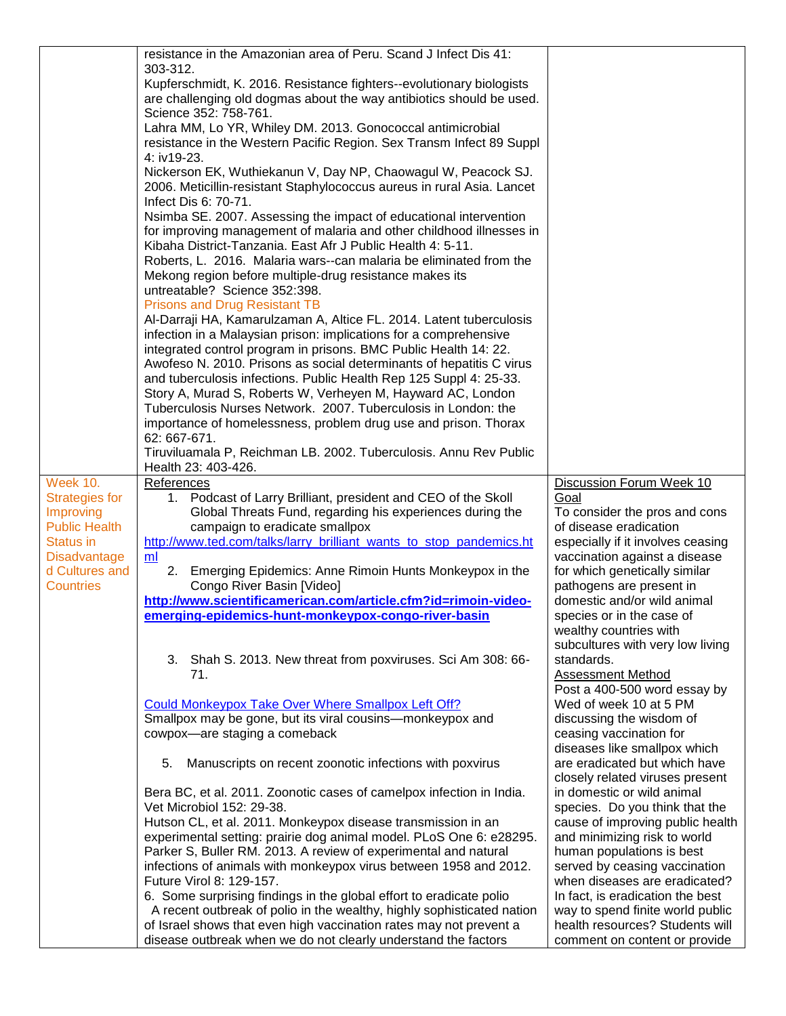|                                   | resistance in the Amazonian area of Peru. Scand J Infect Dis 41:                                                                              |                                                                      |
|-----------------------------------|-----------------------------------------------------------------------------------------------------------------------------------------------|----------------------------------------------------------------------|
|                                   | 303-312.                                                                                                                                      |                                                                      |
|                                   | Kupferschmidt, K. 2016. Resistance fighters--evolutionary biologists                                                                          |                                                                      |
|                                   | are challenging old dogmas about the way antibiotics should be used.                                                                          |                                                                      |
|                                   | Science 352: 758-761.                                                                                                                         |                                                                      |
|                                   | Lahra MM, Lo YR, Whiley DM. 2013. Gonococcal antimicrobial                                                                                    |                                                                      |
|                                   | resistance in the Western Pacific Region. Sex Transm Infect 89 Suppl                                                                          |                                                                      |
|                                   | 4: iv19-23.                                                                                                                                   |                                                                      |
|                                   | Nickerson EK, Wuthiekanun V, Day NP, Chaowagul W, Peacock SJ.                                                                                 |                                                                      |
|                                   | 2006. Meticillin-resistant Staphylococcus aureus in rural Asia. Lancet                                                                        |                                                                      |
|                                   | Infect Dis 6: 70-71.<br>Nsimba SE. 2007. Assessing the impact of educational intervention                                                     |                                                                      |
|                                   | for improving management of malaria and other childhood illnesses in                                                                          |                                                                      |
|                                   | Kibaha District-Tanzania. East Afr J Public Health 4: 5-11.                                                                                   |                                                                      |
|                                   | Roberts, L. 2016. Malaria wars--can malaria be eliminated from the                                                                            |                                                                      |
|                                   | Mekong region before multiple-drug resistance makes its                                                                                       |                                                                      |
|                                   | untreatable? Science 352:398.                                                                                                                 |                                                                      |
|                                   | <b>Prisons and Drug Resistant TB</b>                                                                                                          |                                                                      |
|                                   | Al-Darraji HA, Kamarulzaman A, Altice FL. 2014. Latent tuberculosis                                                                           |                                                                      |
|                                   | infection in a Malaysian prison: implications for a comprehensive                                                                             |                                                                      |
|                                   | integrated control program in prisons. BMC Public Health 14: 22.                                                                              |                                                                      |
|                                   | Awofeso N. 2010. Prisons as social determinants of hepatitis C virus                                                                          |                                                                      |
|                                   | and tuberculosis infections. Public Health Rep 125 Suppl 4: 25-33.                                                                            |                                                                      |
|                                   | Story A, Murad S, Roberts W, Verheyen M, Hayward AC, London<br>Tuberculosis Nurses Network. 2007. Tuberculosis in London: the                 |                                                                      |
|                                   | importance of homelessness, problem drug use and prison. Thorax                                                                               |                                                                      |
|                                   | 62: 667-671.                                                                                                                                  |                                                                      |
|                                   | Tiruviluamala P, Reichman LB. 2002. Tuberculosis. Annu Rev Public                                                                             |                                                                      |
|                                   | Health 23: 403-426.                                                                                                                           |                                                                      |
| Week $10.$                        | References                                                                                                                                    | Discussion Forum Week 10                                             |
| <b>Strategies for</b>             | 1. Podcast of Larry Brilliant, president and CEO of the Skoll                                                                                 | Goal                                                                 |
| Improving                         | Global Threats Fund, regarding his experiences during the                                                                                     | To consider the pros and cons                                        |
| <b>Public Health</b><br>Status in | campaign to eradicate smallpox<br>http://www.ted.com/talks/larry_brilliant_wants_to_stop_pandemics.ht                                         | of disease eradication<br>especially if it involves ceasing          |
| <b>Disadvantage</b>               | ml                                                                                                                                            | vaccination against a disease                                        |
| d Cultures and                    | 2. Emerging Epidemics: Anne Rimoin Hunts Monkeypox in the                                                                                     | for which genetically similar                                        |
| <b>Countries</b>                  | Congo River Basin [Video]                                                                                                                     | pathogens are present in                                             |
|                                   | http://www.scientificamerican.com/article.cfm?id=rimoin-video-                                                                                | domestic and/or wild animal                                          |
|                                   | emeraina-epidemics-hunt-monkeypox-congo-river-basin                                                                                           | species or in the case of                                            |
|                                   |                                                                                                                                               | wealthy countries with                                               |
|                                   |                                                                                                                                               | subcultures with very low living                                     |
|                                   | 3. Shah S. 2013. New threat from poxviruses. Sci Am 308: 66-                                                                                  | standards.                                                           |
|                                   | 71.                                                                                                                                           | <b>Assessment Method</b>                                             |
|                                   | Could Monkeypox Take Over Where Smallpox Left Off?                                                                                            | Post a 400-500 word essay by<br>Wed of week 10 at 5 PM               |
|                                   | Smallpox may be gone, but its viral cousins-monkeypox and                                                                                     | discussing the wisdom of                                             |
|                                   | cowpox-are staging a comeback                                                                                                                 | ceasing vaccination for                                              |
|                                   |                                                                                                                                               | diseases like smallpox which                                         |
|                                   | Manuscripts on recent zoonotic infections with poxvirus<br>5.                                                                                 | are eradicated but which have                                        |
|                                   |                                                                                                                                               | closely related viruses present                                      |
|                                   | Bera BC, et al. 2011. Zoonotic cases of camelpox infection in India.                                                                          | in domestic or wild animal                                           |
|                                   | Vet Microbiol 152: 29-38.                                                                                                                     | species. Do you think that the                                       |
|                                   | Hutson CL, et al. 2011. Monkeypox disease transmission in an                                                                                  | cause of improving public health                                     |
|                                   | experimental setting: prairie dog animal model. PLoS One 6: e28295.                                                                           | and minimizing risk to world                                         |
|                                   | Parker S, Buller RM. 2013. A review of experimental and natural                                                                               | human populations is best                                            |
|                                   | infections of animals with monkeypox virus between 1958 and 2012.                                                                             | served by ceasing vaccination                                        |
|                                   | Future Virol 8: 129-157.                                                                                                                      | when diseases are eradicated?                                        |
|                                   | 6. Some surprising findings in the global effort to eradicate polio<br>A recent outbreak of polio in the wealthy, highly sophisticated nation | In fact, is eradication the best<br>way to spend finite world public |
|                                   | of Israel shows that even high vaccination rates may not prevent a                                                                            | health resources? Students will                                      |
|                                   | disease outbreak when we do not clearly understand the factors                                                                                | comment on content or provide                                        |
|                                   |                                                                                                                                               |                                                                      |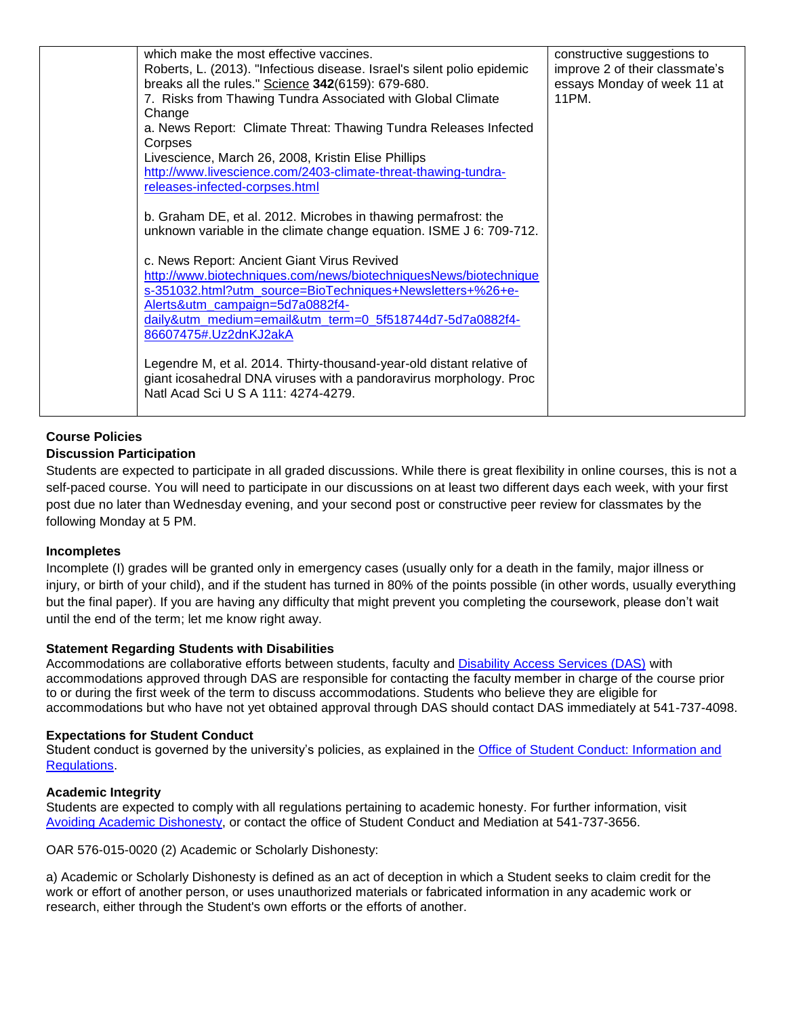| which make the most effective vaccines.<br>Roberts, L. (2013). "Infectious disease. Israel's silent polio epidemic<br>breaks all the rules." Science 342(6159): 679-680.<br>7. Risks from Thawing Tundra Associated with Global Climate<br>Change<br>a. News Report: Climate Threat: Thawing Tundra Releases Infected<br>Corpses<br>Livescience, March 26, 2008, Kristin Elise Phillips<br>http://www.livescience.com/2403-climate-threat-thawing-tundra-<br>releases-infected-corpses.html<br>b. Graham DE, et al. 2012. Microbes in thawing permafrost: the<br>unknown variable in the climate change equation. ISME J 6: 709-712.<br>c. News Report: Ancient Giant Virus Revived<br>http://www.biotechniques.com/news/biotechniquesNews/biotechnique<br>s-351032.html?utm_source=BioTechniques+Newsletters+%26+e-<br>Alerts&utm_campaign=5d7a0882f4-<br>daily&utm_medium=email&utm_term=0_5f518744d7-5d7a0882f4-<br>86607475#.Uz2dnKJ2akA<br>Legendre M, et al. 2014. Thirty-thousand-year-old distant relative of<br>giant icosahedral DNA viruses with a pandoravirus morphology. Proc<br>Natl Acad Sci U S A 111: 4274-4279. | constructive suggestions to<br>improve 2 of their classmate's<br>essays Monday of week 11 at<br>11PM. |
|------------------------------------------------------------------------------------------------------------------------------------------------------------------------------------------------------------------------------------------------------------------------------------------------------------------------------------------------------------------------------------------------------------------------------------------------------------------------------------------------------------------------------------------------------------------------------------------------------------------------------------------------------------------------------------------------------------------------------------------------------------------------------------------------------------------------------------------------------------------------------------------------------------------------------------------------------------------------------------------------------------------------------------------------------------------------------------------------------------------------------------|-------------------------------------------------------------------------------------------------------|
|------------------------------------------------------------------------------------------------------------------------------------------------------------------------------------------------------------------------------------------------------------------------------------------------------------------------------------------------------------------------------------------------------------------------------------------------------------------------------------------------------------------------------------------------------------------------------------------------------------------------------------------------------------------------------------------------------------------------------------------------------------------------------------------------------------------------------------------------------------------------------------------------------------------------------------------------------------------------------------------------------------------------------------------------------------------------------------------------------------------------------------|-------------------------------------------------------------------------------------------------------|

# **Course Policies**

## **Discussion Participation**

Students are expected to participate in all graded discussions. While there is great flexibility in online courses, this is not a self-paced course. You will need to participate in our discussions on at least two different days each week, with your first post due no later than Wednesday evening, and your second post or constructive peer review for classmates by the following Monday at 5 PM.

#### **Incompletes**

Incomplete (I) grades will be granted only in emergency cases (usually only for a death in the family, major illness or injury, or birth of your child), and if the student has turned in 80% of the points possible (in other words, usually everything but the final paper). If you are having any difficulty that might prevent you completing the coursework, please don't wait until the end of the term; let me know right away.

#### **Statement Regarding Students with Disabilities**

Accommodations are collaborative efforts between students, faculty and [Disability Access Services \(DAS\)](http://ds.oregonstate.edu/home/) with accommodations approved through DAS are responsible for contacting the faculty member in charge of the course prior to or during the first week of the term to discuss accommodations. Students who believe they are eligible for accommodations but who have not yet obtained approval through DAS should contact DAS immediately at 541-737-4098.

#### **Expectations for Student Conduct**

Student conduct is governed by the university's policies, as explained in the [Office of Student Conduct: Information and](http://oregonstate.edu/studentconduct/home/)  [Regulations.](http://oregonstate.edu/studentconduct/home/)

#### **Academic Integrity**

Students are expected to comply with all regulations pertaining to academic honesty. For further information, visit [Avoiding Academic Dishonesty,](http://oregonstate.edu/studentconduct/code/index.php#acdis) or contact the office of Student Conduct and Mediation at 541-737-3656.

OAR 576-015-0020 (2) Academic or Scholarly Dishonesty:

a) Academic or Scholarly Dishonesty is defined as an act of deception in which a Student seeks to claim credit for the work or effort of another person, or uses unauthorized materials or fabricated information in any academic work or research, either through the Student's own efforts or the efforts of another.